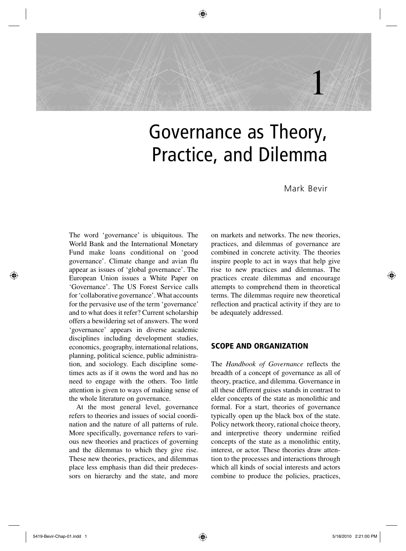

Mark Bevir

1

The word 'governance' is ubiquitous. The World Bank and the International Monetary Fund make loans conditional on 'good governance'. Climate change and avian flu appear as issues of 'global governance'. The European Union issues a White Paper on 'Governance'. The US Forest Service calls for 'collaborative governance'. What accounts for the pervasive use of the term 'governance' and to what does it refer? Current scholarship offers a bewildering set of answers. The word 'governance' appears in diverse academic disciplines including development studies, economics, geography, international relations, planning, political science, public administration, and sociology. Each discipline sometimes acts as if it owns the word and has no need to engage with the others. Too little attention is given to ways of making sense of the whole literature on governance.

At the most general level, governance refers to theories and issues of social coordination and the nature of all patterns of rule. More specifically, governance refers to various new theories and practices of governing and the dilemmas to which they give rise. These new theories, practices, and dilemmas place less emphasis than did their predecessors on hierarchy and the state, and more on markets and networks. The new theories, practices, and dilemmas of governance are combined in concrete activity. The theories inspire people to act in ways that help give rise to new practices and dilemmas. The practices create dilemmas and encourage attempts to comprehend them in theoretical terms. The dilemmas require new theoretical reflection and practical activity if they are to be adequately addressed.

## SCOPE AND ORGANIZATION

The *Handbook of Governance* reflects the breadth of a concept of governance as all of theory, practice, and dilemma. Governance in all these different guises stands in contrast to elder concepts of the state as monolithic and formal. For a start, theories of governance typically open up the black box of the state. Policy network theory, rational choice theory, and interpretive theory undermine reified concepts of the state as a monolithic entity, interest, or actor. These theories draw attention to the processes and interactions through which all kinds of social interests and actors combine to produce the policies, practices,

⊕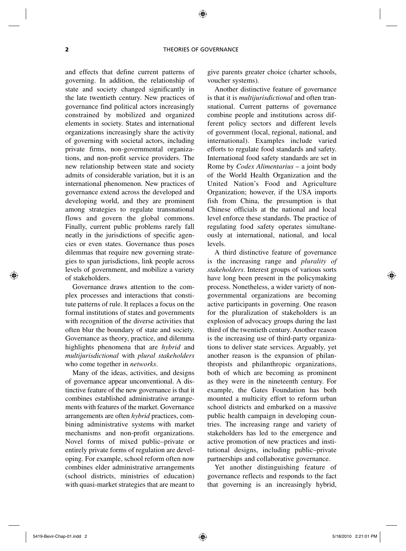and effects that define current patterns of governing. In addition, the relationship of state and society changed significantly in the late twentieth century. New practices of governance find political actors increasingly constrained by mobilized and organized elements in society. States and international organizations increasingly share the activity of governing with societal actors, including private firms, non-governmental organizations, and non-profit service providers. The new relationship between state and society admits of considerable variation, but it is an international phenomenon. New practices of governance extend across the developed and developing world, and they are prominent among strategies to regulate transnational flows and govern the global commons. Finally, current public problems rarely fall neatly in the jurisdictions of specific agencies or even states. Governance thus poses dilemmas that require new governing strategies to span jurisdictions, link people across levels of government, and mobilize a variety of stakeholders.

Governance draws attention to the complex processes and interactions that constitute patterns of rule. It replaces a focus on the formal institutions of states and governments with recognition of the diverse activities that often blur the boundary of state and society. Governance as theory, practice, and dilemma highlights phenomena that are *hybrid* and *multijurisdictional* with *plural stakeholders* who come together in *networks*.

Many of the ideas, activities, and designs of governance appear unconventional. A distinctive feature of the new governance is that it combines established administrative arrangements with features of the market. Governance arrangements are often *hybrid* practices, combining administrative systems with market mechanisms and non-profit organizations. Novel forms of mixed public–private or entirely private forms of regulation are developing. For example, school reform often now combines elder administrative arrangements (school districts, ministries of education) with quasi-market strategies that are meant to

give parents greater choice (charter schools, voucher systems).

Another distinctive feature of governance is that it is *multijurisdictional* and often transnational. Current patterns of governance combine people and institutions across different policy sectors and different levels of government (local, regional, national, and international). Examples include varied efforts to regulate food standards and safety. International food safety standards are set in Rome by *Codex Alimentarius* – a joint body of the World Health Organization and the United Nation's Food and Agriculture Organization; however, if the USA imports fish from China, the presumption is that Chinese officials at the national and local level enforce these standards. The practice of regulating food safety operates simultaneously at international, national, and local levels.

A third distinctive feature of governance is the increasing range and *plurality of stakeholders*. Interest groups of various sorts have long been present in the policymaking process. Nonetheless, a wider variety of nongovernmental organizations are becoming active participants in governing. One reason for the pluralization of stakeholders is an explosion of advocacy groups during the last third of the twentieth century. Another reason is the increasing use of third-party organizations to deliver state services. Arguably, yet another reason is the expansion of philanthropists and philanthropic organizations, both of which are becoming as prominent as they were in the nineteenth century. For example, the Gates Foundation has both mounted a multicity effort to reform urban school districts and embarked on a massive public health campaign in developing countries. The increasing range and variety of stakeholders has led to the emergence and active promotion of new practices and institutional designs, including public–private partnerships and collaborative governance.

Yet another distinguishing feature of governance reflects and responds to the fact that governing is an increasingly hybrid,

⊕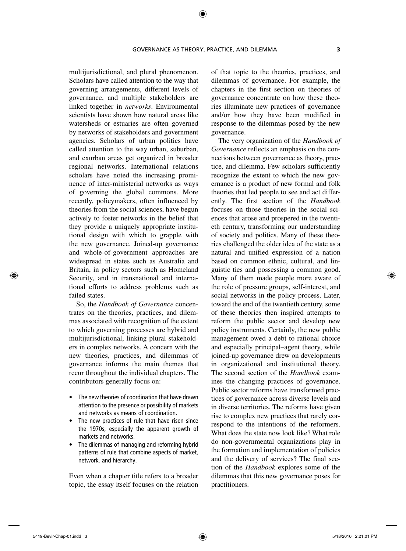multijurisdictional, and plural phenomenon. Scholars have called attention to the way that governing arrangements, different levels of governance, and multiple stakeholders are linked together in *networks*. Environmental scientists have shown how natural areas like watersheds or estuaries are often governed by networks of stakeholders and government agencies. Scholars of urban politics have called attention to the way urban, suburban, and exurban areas get organized in broader regional networks. International relations scholars have noted the increasing prominence of inter-ministerial networks as ways of governing the global commons. More recently, policymakers, often influenced by theories from the social sciences, have begun actively to foster networks in the belief that they provide a uniquely appropriate institutional design with which to grapple with the new governance. Joined-up governance and whole-of-government approaches are widespread in states such as Australia and Britain, in policy sectors such as Homeland Security, and in transnational and international efforts to address problems such as failed states.

So, the *Handbook of Governance* concentrates on the theories, practices, and dilemmas associated with recognition of the extent to which governing processes are hybrid and multijurisdictional, linking plural stakeholders in complex networks. A concern with the new theories, practices, and dilemmas of governance informs the main themes that recur throughout the individual chapters. The contributors generally focus on:

- The new theories of coordination that have drawn attention to the presence or possibility of markets and networks as means of coordination.
- The new practices of rule that have risen since the 1970s, especially the apparent growth of markets and networks.
- The dilemmas of managing and reforming hybrid patterns of rule that combine aspects of market, network, and hierarchy.

Even when a chapter title refers to a broader topic, the essay itself focuses on the relation of that topic to the theories, practices, and dilemmas of governance. For example, the chapters in the first section on theories of governance concentrate on how these theories illuminate new practices of governance and/or how they have been modified in response to the dilemmas posed by the new governance.

The very organization of the *Handbook of Governance* reflects an emphasis on the connections between governance as theory, practice, and dilemma. Few scholars sufficiently recognize the extent to which the new governance is a product of new formal and folk theories that led people to see and act differently. The first section of the *Handbook* focuses on those theories in the social sciences that arose and prospered in the twentieth century, transforming our understanding of society and politics. Many of these theories challenged the older idea of the state as a natural and unified expression of a nation based on common ethnic, cultural, and linguistic ties and possessing a common good. Many of them made people more aware of the role of pressure groups, self-interest, and social networks in the policy process. Later, toward the end of the twentieth century, some of these theories then inspired attempts to reform the public sector and develop new policy instruments. Certainly, the new public management owed a debt to rational choice and especially principal–agent theory, while joined-up governance drew on developments in organizational and institutional theory. The second section of the *Handbook* examines the changing practices of governance. Public sector reforms have transformed practices of governance across diverse levels and in diverse territories. The reforms have given rise to complex new practices that rarely correspond to the intentions of the reformers. What does the state now look like? What role do non-governmental organizations play in the formation and implementation of policies and the delivery of services? The final section of the *Handbook* explores some of the dilemmas that this new governance poses for practitioners.

⊕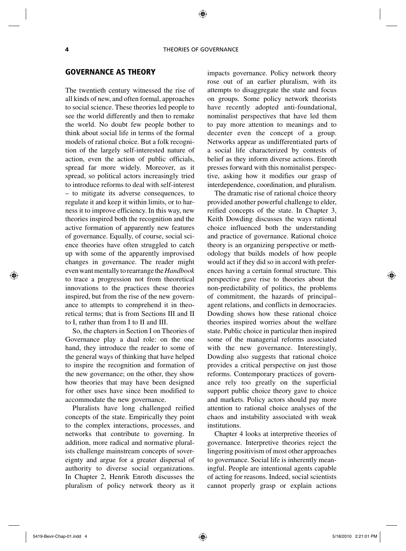#### GOVERNANCE AS THEORY

The twentieth century witnessed the rise of all kinds of new, and often formal, approaches to social science. These theories led people to see the world differently and then to remake the world. No doubt few people bother to think about social life in terms of the formal models of rational choice. But a folk recognition of the largely self-interested nature of action, even the action of public officials, spread far more widely. Moreover, as it spread, so political actors increasingly tried to introduce reforms to deal with self-interest – to mitigate its adverse consequences, to regulate it and keep it within limits, or to harness it to improve efficiency. In this way, new theories inspired both the recognition and the active formation of apparently new features of governance. Equally, of course, social science theories have often struggled to catch up with some of the apparently improvised changes in governance. The reader might even want mentally to rearrange the *Handbook* to trace a progression not from theoretical innovations to the practices these theories inspired, but from the rise of the new governance to attempts to comprehend it in theoretical terms; that is from Sections III and II to I, rather than from I to II and III.

So, the chapters in Section I on Theories of Governance play a dual role: on the one hand, they introduce the reader to some of the general ways of thinking that have helped to inspire the recognition and formation of the new governance; on the other, they show how theories that may have been designed for other uses have since been modified to accommodate the new governance.

Pluralists have long challenged reified concepts of the state. Empirically they point to the complex interactions, processes, and networks that contribute to governing. In addition, more radical and normative pluralists challenge mainstream concepts of sovereignty and argue for a greater dispersal of authority to diverse social organizations. In Chapter 2, Henrik Enroth discusses the pluralism of policy network theory as it

impacts governance. Policy network theory rose out of an earlier pluralism, with its attempts to disaggregate the state and focus on groups. Some policy network theorists have recently adopted anti-foundational, nominalist perspectives that have led them to pay more attention to meanings and to decenter even the concept of a group. Networks appear as undifferentiated parts of a social life characterized by contests of belief as they inform diverse actions. Enroth presses forward with this nominalist perspective, asking how it modifies our grasp of interdependence, coordination, and pluralism.

The dramatic rise of rational choice theory provided another powerful challenge to elder, reified concepts of the state. In Chapter 3, Keith Dowding discusses the ways rational choice influenced both the understanding and practice of governance. Rational choice theory is an organizing perspective or methodology that builds models of how people would act if they did so in accord with preferences having a certain formal structure. This perspective gave rise to theories about the non-predictability of politics, the problems of commitment, the hazards of principal– agent relations, and conflicts in democracies. Dowding shows how these rational choice theories inspired worries about the welfare state. Public choice in particular then inspired some of the managerial reforms associated with the new governance. Interestingly, Dowding also suggests that rational choice provides a critical perspective on just those reforms. Contemporary practices of governance rely too greatly on the superficial support public choice theory gave to choice and markets. Policy actors should pay more attention to rational choice analyses of the chaos and instability associated with weak institutions.

Chapter 4 looks at interpretive theories of governance. Interpretive theories reject the lingering positivism of most other approaches to governance. Social life is inherently meaningful. People are intentional agents capable of acting for reasons. Indeed, social scientists cannot properly grasp or explain actions

⊕

Œ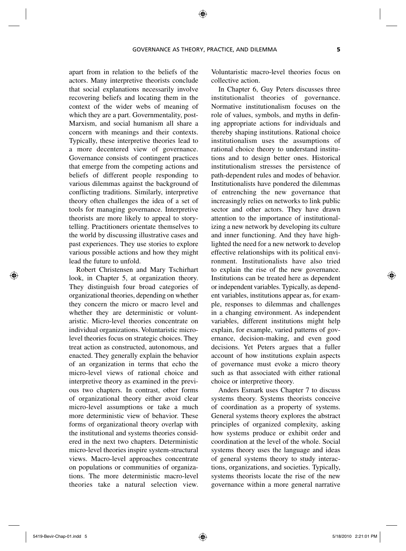apart from in relation to the beliefs of the actors. Many interpretive theorists conclude that social explanations necessarily involve recovering beliefs and locating them in the context of the wider webs of meaning of which they are a part. Governmentality, post-Marxism, and social humanism all share a concern with meanings and their contexts. Typically, these interpretive theories lead to a more decentered view of governance. Governance consists of contingent practices that emerge from the competing actions and beliefs of different people responding to various dilemmas against the background of conflicting traditions. Similarly, interpretive theory often challenges the idea of a set of tools for managing governance. Interpretive theorists are more likely to appeal to storytelling. Practitioners orientate themselves to the world by discussing illustrative cases and past experiences. They use stories to explore various possible actions and how they might lead the future to unfold.

Robert Christensen and Mary Tschirhart look, in Chapter 5, at organization theory. They distinguish four broad categories of organizational theories, depending on whether they concern the micro or macro level and whether they are deterministic or voluntaristic. Micro-level theories concentrate on individual organizations. Voluntaristic microlevel theories focus on strategic choices. They treat action as constructed, autonomous, and enacted. They generally explain the behavior of an organization in terms that echo the micro-level views of rational choice and interpretive theory as examined in the previous two chapters. In contrast, other forms of organizational theory either avoid clear micro-level assumptions or take a much more deterministic view of behavior. These forms of organizational theory overlap with the institutional and systems theories considered in the next two chapters. Deterministic micro-level theories inspire system-structural views. Macro-level approaches concentrate on populations or communities of organizations. The more deterministic macro-level theories take a natural selection view.

Voluntaristic macro-level theories focus on collective action.

In Chapter 6, Guy Peters discusses three institutionalist theories of governance. Normative institutionalism focuses on the role of values, symbols, and myths in defining appropriate actions for individuals and thereby shaping institutions. Rational choice institutionalism uses the assumptions of rational choice theory to understand institutions and to design better ones. Historical institutionalism stresses the persistence of path-dependent rules and modes of behavior. Institutionalists have pondered the dilemmas of entrenching the new governance that increasingly relies on networks to link public sector and other actors. They have drawn attention to the importance of institutionalizing a new network by developing its culture and inner functioning. And they have highlighted the need for a new network to develop effective relationships with its political environment. Institutionalists have also tried to explain the rise of the new governance. Institutions can be treated here as dependent or independent variables. Typically, as dependent variables, institutions appear as, for example, responses to dilemmas and challenges in a changing environment. As independent variables, different institutions might help explain, for example, varied patterns of governance, decision-making, and even good decisions. Yet Peters argues that a fuller account of how institutions explain aspects of governance must evoke a micro theory such as that associated with either rational choice or interpretive theory.

Anders Esmark uses Chapter 7 to discuss systems theory. Systems theorists conceive of coordination as a property of systems. General systems theory explores the abstract principles of organized complexity, asking how systems produce or exhibit order and coordination at the level of the whole. Social systems theory uses the language and ideas of general systems theory to study interactions, organizations, and societies. Typically, systems theorists locate the rise of the new governance within a more general narrative

⊕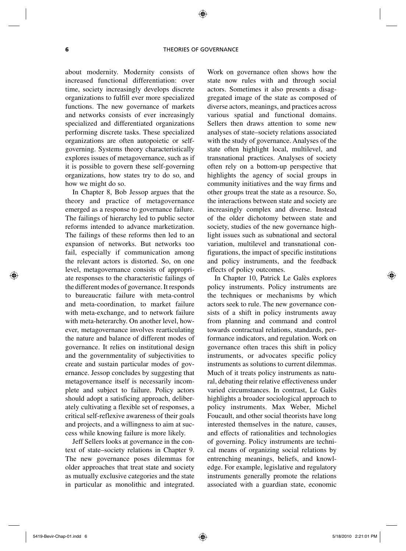about modernity. Modernity consists of increased functional differentiation: over time, society increasingly develops discrete organizations to fulfill ever more specialized functions. The new governance of markets and networks consists of ever increasingly specialized and differentiated organizations performing discrete tasks. These specialized organizations are often autopoietic or selfgoverning. Systems theory characteristically explores issues of metagovernance, such as if it is possible to govern these self-governing organizations, how states try to do so, and how we might do so.

In Chapter 8, Bob Jessop argues that the theory and practice of metagovernance emerged as a response to governance failure. The failings of hierarchy led to public sector reforms intended to advance marketization. The failings of these reforms then led to an expansion of networks. But networks too fail, especially if communication among the relevant actors is distorted. So, on one level, metagovernance consists of appropriate responses to the characteristic failings of the different modes of governance. It responds to bureaucratic failure with meta-control and meta-coordination, to market failure with meta-exchange, and to network failure with meta-heterarchy. On another level, however, metagovernance involves rearticulating the nature and balance of different modes of governance. It relies on institutional design and the governmentality of subjectivities to create and sustain particular modes of governance. Jessop concludes by suggesting that metagovernance itself is necessarily incomplete and subject to failure. Policy actors should adopt a satisficing approach, deliberately cultivating a flexible set of responses, a critical self-reflexive awareness of their goals and projects, and a willingness to aim at success while knowing failure is more likely.

Jeff Sellers looks at governance in the context of state–society relations in Chapter 9. The new governance poses dilemmas for older approaches that treat state and society as mutually exclusive categories and the state in particular as monolithic and integrated.

Work on governance often shows how the state now rules with and through social actors. Sometimes it also presents a disaggregated image of the state as composed of diverse actors, meanings, and practices across various spatial and functional domains. Sellers then draws attention to some new analyses of state–society relations associated with the study of governance. Analyses of the state often highlight local, multilevel, and transnational practices. Analyses of society often rely on a bottom-up perspective that highlights the agency of social groups in community initiatives and the way firms and other groups treat the state as a resource. So, the interactions between state and society are increasingly complex and diverse. Instead of the older dichotomy between state and society, studies of the new governance highlight issues such as subnational and sectoral variation, multilevel and transnational configurations, the impact of specific institutions and policy instruments, and the feedback effects of policy outcomes.

In Chapter 10, Patrick Le Galès explores policy instruments. Policy instruments are the techniques or mechanisms by which actors seek to rule. The new governance consists of a shift in policy instruments away from planning and command and control towards contractual relations, standards, performance indicators, and regulation. Work on governance often traces this shift in policy instruments, or advocates specific policy instruments as solutions to current dilemmas. Much of it treats policy instruments as natural, debating their relative effectiveness under varied circumstances. In contrast, Le Galès highlights a broader sociological approach to policy instruments. Max Weber, Michel Foucault, and other social theorists have long interested themselves in the nature, causes, and effects of rationalities and technologies of governing. Policy instruments are technical means of organizing social relations by entrenching meanings, beliefs, and knowledge. For example, legislative and regulatory instruments generally promote the relations associated with a guardian state, economic

⊕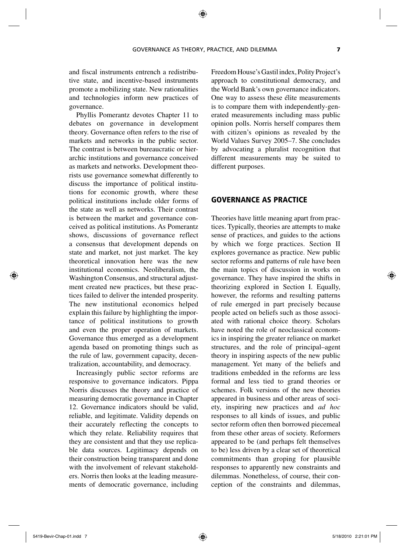and fiscal instruments entrench a redistributive state, and incentive-based instruments promote a mobilizing state. New rationalities and technologies inform new practices of governance.

Phyllis Pomerantz devotes Chapter 11 to debates on governance in development theory. Governance often refers to the rise of markets and networks in the public sector. The contrast is between bureaucratic or hierarchic institutions and governance conceived as markets and networks. Development theorists use governance somewhat differently to discuss the importance of political institutions for economic growth, where these political institutions include older forms of the state as well as networks. Their contrast is between the market and governance conceived as political institutions. As Pomerantz shows, discussions of governance reflect a consensus that development depends on state and market, not just market. The key theoretical innovation here was the new institutional economics. Neoliberalism, the Washington Consensus, and structural adjustment created new practices, but these practices failed to deliver the intended prosperity. The new institutional economics helped explain this failure by highlighting the importance of political institutions to growth and even the proper operation of markets. Governance thus emerged as a development agenda based on promoting things such as the rule of law, government capacity, decentralization, accountability, and democracy.

Increasingly public sector reforms are responsive to governance indicators. Pippa Norris discusses the theory and practice of measuring democratic governance in Chapter 12. Governance indicators should be valid, reliable, and legitimate. Validity depends on their accurately reflecting the concepts to which they relate. Reliability requires that they are consistent and that they use replicable data sources. Legitimacy depends on their construction being transparent and done with the involvement of relevant stakeholders. Norris then looks at the leading measurements of democratic governance, including Freedom House's Gastil index, Polity Project's approach to constitutional democracy, and the World Bank's own governance indicators. One way to assess these élite measurements is to compare them with independently-generated measurements including mass public opinion polls. Norris herself compares them with citizen's opinions as revealed by the World Values Survey 2005–7. She concludes by advocating a pluralist recognition that different measurements may be suited to different purposes.

## GOVERNANCE AS PRACTICE

Theories have little meaning apart from practices. Typically, theories are attempts to make sense of practices, and guides to the actions by which we forge practices. Section II explores governance as practice. New public sector reforms and patterns of rule have been the main topics of discussion in works on governance. They have inspired the shifts in theorizing explored in Section I. Equally, however, the reforms and resulting patterns of rule emerged in part precisely because people acted on beliefs such as those associated with rational choice theory. Scholars have noted the role of neoclassical economics in inspiring the greater reliance on market structures, and the role of principal–agent theory in inspiring aspects of the new public management. Yet many of the beliefs and traditions embedded in the reforms are less formal and less tied to grand theories or schemes. Folk versions of the new theories appeared in business and other areas of society, inspiring new practices and *ad hoc* responses to all kinds of issues, and public sector reform often then borrowed piecemeal from these other areas of society. Reformers appeared to be (and perhaps felt themselves to be) less driven by a clear set of theoretical commitments than groping for plausible responses to apparently new constraints and dilemmas. Nonetheless, of course, their conception of the constraints and dilemmas,

⊕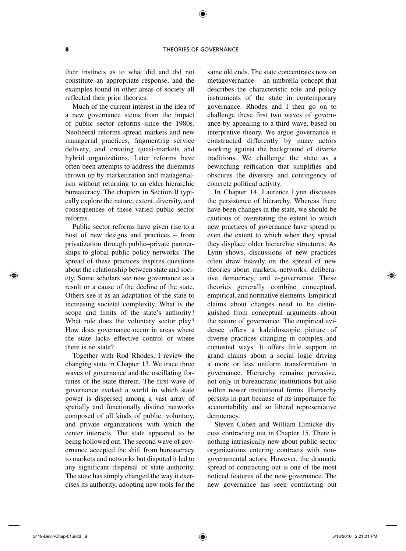their instincts as to what did and did not constitute an appropriate response, and the examples found in other areas of society all reflected their prior theories.

Much of the current interest in the idea of a new governance stems from the impact of public sector reforms since the 1980s. Neoliberal reforms spread markets and new managerial practices, fragmenting service delivery, and creating quasi-markets and hybrid organizations. Later reforms have often been attempts to address the dilemmas thrown up by marketization and managerialism without returning to an elder hierarchic bureaucracy. The chapters in Section II typically explore the nature, extent, diversity, and consequences of these varied public sector reforms.

Public sector reforms have given rise to a host of new designs and practices – from privatization through public–private partnerships to global public policy networks. The spread of these practices inspires questions about the relationship between state and society. Some scholars see new governance as a result or a cause of the decline of the state. Others see it as an adaptation of the state to increasing societal complexity. What is the scope and limits of the state's authority? What role does the voluntary sector play? How does governance occur in areas where the state lacks effective control or where there is no state?

Together with Rod Rhodes, I review the changing state in Chapter 13. We trace three waves of governance and the oscillating fortunes of the state therein. The first wave of governance evoked a world in which state power is dispersed among a vast array of spatially and functionally distinct networks composed of all kinds of public, voluntary, and private organizations with which the center interacts. The state appeared to be being hollowed out. The second wave of governance accepted the shift from bureaucracy to markets and networks but disputed it led to any significant dispersal of state authority. The state has simply changed the way it exercises its authority, adopting new tools for the

same old ends. The state concentrates now on metagovernance – an umbrella concept that describes the characteristic role and policy instruments of the state in contemporary governance. Rhodes and I then go on to challenge these first two waves of governance by appealing to a third wave, based on interpretive theory. We argue governance is constructed differently by many actors working against the background of diverse traditions. We challenge the state as a bewitching reification that simplifies and obscures the diversity and contingency of concrete political activity.

In Chapter 14, Laurence Lynn discusses the persistence of hierarchy. Whereas there have been changes in the state, we should be cautious of overstating the extent to which new practices of governance have spread or even the extent to which when they spread they displace older hierarchic structures. As Lynn shows, discussions of new practices often draw heavily on the spread of new theories about markets, networks, deliberative democracy, and e-governance. These theories generally combine conceptual, empirical, and normative elements. Empirical claims about changes need to be distinguished from conceptual arguments about the nature of governance. The empirical evidence offers a kaleidoscopic picture of diverse practices changing in complex and contested ways. It offers little support to grand claims about a social logic driving a more or less uniform transformation in governance. Hierarchy remains pervasive, not only in bureaucratic institutions but also within newer institutional forms. Hierarchy persists in part because of its importance for accountability and so liberal representative democracy.

Steven Cohen and William Eimicke discuss contracting out in Chapter 15. There is nothing intrinsically new about public sector organizations entering contracts with nongovernmental actors. However, the dramatic spread of contracting out is one of the most noticed features of the new governance. The new governance has seen contracting out

⊕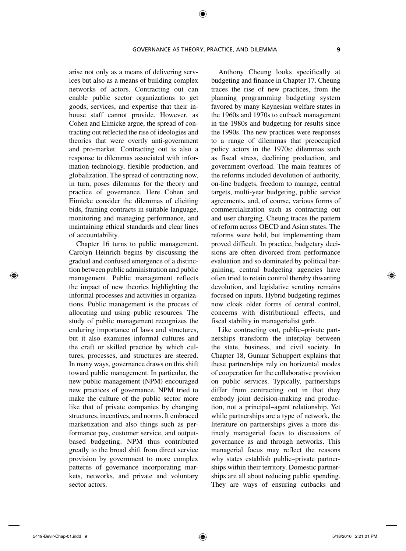arise not only as a means of delivering services but also as a means of building complex networks of actors. Contracting out can enable public sector organizations to get goods, services, and expertise that their inhouse staff cannot provide. However, as Cohen and Eimicke argue, the spread of contracting out reflected the rise of ideologies and theories that were overtly anti-government and pro-market. Contracting out is also a response to dilemmas associated with information technology, flexible production, and globalization. The spread of contracting now, in turn, poses dilemmas for the theory and practice of governance. Here Cohen and Eimicke consider the dilemmas of eliciting bids, framing contracts in suitable language, monitoring and managing performance, and maintaining ethical standards and clear lines of accountability.

Chapter 16 turns to public management. Carolyn Heinrich begins by discussing the gradual and confused emergence of a distinction between public administration and public management. Public management reflects the impact of new theories highlighting the informal processes and activities in organizations. Public management is the process of allocating and using public resources. The study of public management recognizes the enduring importance of laws and structures, but it also examines informal cultures and the craft or skilled practice by which cultures, processes, and structures are steered. In many ways, governance draws on this shift toward public management. In particular, the new public management (NPM) encouraged new practices of governance. NPM tried to make the culture of the public sector more like that of private companies by changing structures, incentives, and norms. It embraced marketization and also things such as performance pay, customer service, and outputbased budgeting. NPM thus contributed greatly to the broad shift from direct service provision by government to more complex patterns of governance incorporating markets, networks, and private and voluntary sector actors.

Anthony Cheung looks specifically at budgeting and finance in Chapter 17. Cheung traces the rise of new practices, from the planning programming budgeting system favored by many Keynesian welfare states in the 1960s and 1970s to cutback management in the 1980s and budgeting for results since the 1990s. The new practices were responses to a range of dilemmas that preoccupied policy actors in the 1970s: dilemmas such as fiscal stress, declining production, and government overload. The main features of the reforms included devolution of authority, on-line budgets, freedom to manage, central targets, multi-year budgeting, public service agreements, and, of course, various forms of commercialization such as contracting out and user charging. Cheung traces the pattern of reform across OECD and Asian states. The reforms were bold, but implementing them proved difficult. In practice, budgetary decisions are often divorced from performance evaluation and so dominated by political bargaining, central budgeting agencies have often tried to retain control thereby thwarting devolution, and legislative scrutiny remains focused on inputs. Hybrid budgeting regimes now cloak older forms of central control, concerns with distributional effects, and fiscal stability in managerialist garb.

Like contracting out, public–private partnerships transform the interplay between the state, business, and civil society. In Chapter 18, Gunnar Schuppert explains that these partnerships rely on horizontal modes of cooperation for the collaborative provision on public services. Typically, partnerships differ from contracting out in that they embody joint decision-making and production, not a principal–agent relationship. Yet while partnerships are a type of network, the literature on partnerships gives a more distinctly managerial focus to discussions of governance as and through networks. This managerial focus may reflect the reasons why states establish public–private partnerships within their territory. Domestic partnerships are all about reducing public spending. They are ways of ensuring cutbacks and

⊕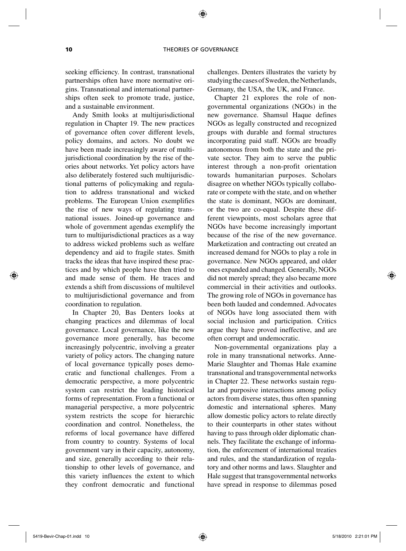seeking efficiency. In contrast, transnational partnerships often have more normative origins. Transnational and international partnerships often seek to promote trade, justice, and a sustainable environment.

Andy Smith looks at multijurisdictional regulation in Chapter 19. The new practices of governance often cover different levels, policy domains, and actors. No doubt we have been made increasingly aware of multijurisdictional coordination by the rise of theories about networks. Yet policy actors have also deliberately fostered such multijurisdictional patterns of policymaking and regulation to address transnational and wicked problems. The European Union exemplifies the rise of new ways of regulating transnational issues. Joined-up governance and whole of government agendas exemplify the turn to multijurisdictional practices as a way to address wicked problems such as welfare dependency and aid to fragile states. Smith tracks the ideas that have inspired these practices and by which people have then tried to and made sense of them. He traces and extends a shift from discussions of multilevel to multijurisdictional governance and from coordination to regulation.

In Chapter 20, Bas Denters looks at changing practices and dilemmas of local governance. Local governance, like the new governance more generally, has become increasingly polycentric, involving a greater variety of policy actors. The changing nature of local governance typically poses democratic and functional challenges. From a democratic perspective, a more polycentric system can restrict the leading historical forms of representation. From a functional or managerial perspective, a more polycentric system restricts the scope for hierarchic coordination and control. Nonetheless, the reforms of local governance have differed from country to country. Systems of local government vary in their capacity, autonomy, and size, generally according to their relationship to other levels of governance, and this variety influences the extent to which they confront democratic and functional

challenges. Denters illustrates the variety by studying the cases of Sweden, the Netherlands, Germany, the USA, the UK, and France.

Chapter 21 explores the role of nongovernmental organizations (NGOs) in the new governance. Shamsul Haque defines NGOs as legally constructed and recognized groups with durable and formal structures incorporating paid staff. NGOs are broadly autonomous from both the state and the private sector. They aim to serve the public interest through a non-profit orientation towards humanitarian purposes. Scholars disagree on whether NGOs typically collaborate or compete with the state, and on whether the state is dominant, NGOs are dominant, or the two are co-equal. Despite these different viewpoints, most scholars agree that NGOs have become increasingly important because of the rise of the new governance. Marketization and contracting out created an increased demand for NGOs to play a role in governance. New NGOs appeared, and older ones expanded and changed. Generally, NGOs did not merely spread; they also became more commercial in their activities and outlooks. The growing role of NGOs in governance has been both lauded and condemned. Advocates of NGOs have long associated them with social inclusion and participation. Critics argue they have proved ineffective, and are often corrupt and undemocratic.

Non-governmental organizations play a role in many transnational networks. Anne-Marie Slaughter and Thomas Hale examine transnational and transgovernmental networks in Chapter 22. These networks sustain regular and purposive interactions among policy actors from diverse states, thus often spanning domestic and international spheres. Many allow domestic policy actors to relate directly to their counterparts in other states without having to pass through older diplomatic channels. They facilitate the exchange of information, the enforcement of international treaties and rules, and the standardization of regulatory and other norms and laws. Slaughter and Hale suggest that transgovernmental networks have spread in response to dilemmas posed

⊕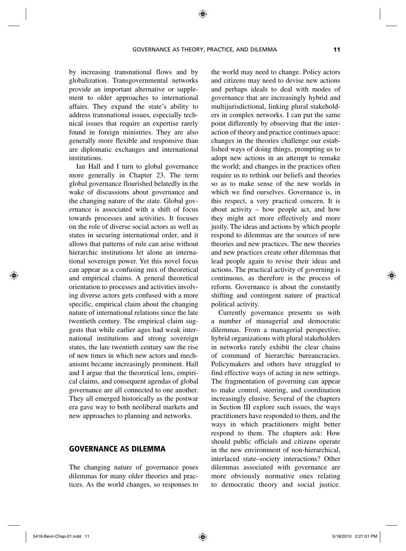by increasing transnational flows and by globalization. Transgovernmental networks provide an important alternative or supplement to older approaches to international affairs. They expand the state's ability to address transnational issues, especially technical issues that require an expertise rarely found in foreign ministries. They are also generally more flexible and responsive than are diplomatic exchanges and international institutions.

Ian Hall and I turn to global governance more generally in Chapter 23. The term global governance flourished belatedly in the wake of discussions about governance and the changing nature of the state. Global governance is associated with a shift of focus towards processes and activities. It focuses on the role of diverse social actors as well as states in securing international order, and it allows that patterns of rule can arise without hierarchic institutions let alone an international sovereign power. Yet this novel focus can appear as a confusing mix of theoretical and empirical claims. A general theoretical orientation to processes and activities involving diverse actors gets confused with a more specific, empirical claim about the changing nature of international relations since the late twentieth century. The empirical claim suggests that while earlier ages had weak international institutions and strong sovereign states, the late twentieth century saw the rise of new times in which new actors and mechanisms became increasingly prominent. Hall and I argue that the theoretical lens, empirical claims, and consequent agendas of global governance are all connected to one another. They all emerged historically as the postwar era gave way to both neoliberal markets and new approaches to planning and networks.

# GOVERNANCE AS DILEMMA

The changing nature of governance poses dilemmas for many older theories and practices. As the world changes, so responses to the world may need to change. Policy actors and citizens may need to devise new actions and perhaps ideals to deal with modes of governance that are increasingly hybrid and multijurisdictional, linking plural stakeholders in complex networks. I can put the same point differently by observing that the interaction of theory and practice continues apace: changes in the theories challenge our established ways of doing things, prompting us to adopt new actions in an attempt to remake the world; and changes in the practices often require us to rethink our beliefs and theories so as to make sense of the new worlds in which we find ourselves. Governance is, in this respect, a very practical concern. It is about activity – how people act, and how they might act more effectively and more justly. The ideas and actions by which people respond to dilemmas are the sources of new theories and new practices. The new theories and new practices create other dilemmas that lead people again to revise their ideas and actions. The practical activity of governing is continuous, as therefore is the process of reform. Governance is about the constantly shifting and contingent nature of practical political activity.

Currently governance presents us with a number of managerial and democratic dilemmas. From a managerial perspective, hybrid organizations with plural stakeholders in networks rarely exhibit the clear chains of command of hierarchic bureaucracies. Policymakers and others have struggled to find effective ways of acting in new settings. The fragmentation of governing can appear to make control, steering, and coordination increasingly elusive. Several of the chapters in Section III explore such issues, the ways practitioners have responded to them, and the ways in which practitioners might better respond to them. The chapters ask: How should public officials and citizens operate in the new environment of non-hierarchical, interlaced state–society interactions? Other dilemmas associated with governance are more obviously normative ones relating to democratic theory and social justice.

⊕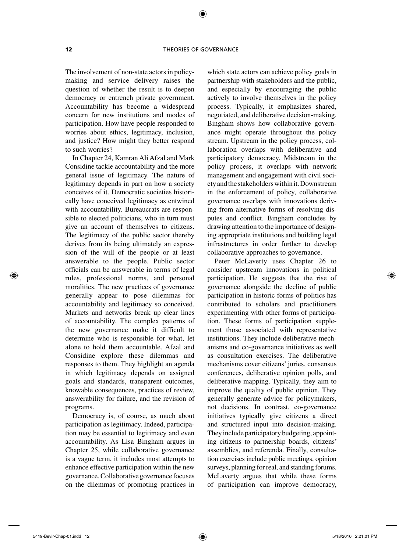The involvement of non-state actors in policymaking and service delivery raises the question of whether the result is to deepen democracy or entrench private government. Accountability has become a widespread concern for new institutions and modes of participation. How have people responded to worries about ethics, legitimacy, inclusion, and justice? How might they better respond to such worries?

In Chapter 24, Kamran Ali Afzal and Mark Considine tackle accountability and the more general issue of legitimacy. The nature of legitimacy depends in part on how a society conceives of it. Democratic societies historically have conceived legitimacy as entwined with accountability. Bureaucrats are responsible to elected politicians, who in turn must give an account of themselves to citizens. The legitimacy of the public sector thereby derives from its being ultimately an expression of the will of the people or at least answerable to the people. Public sector officials can be answerable in terms of legal rules, professional norms, and personal moralities. The new practices of governance generally appear to pose dilemmas for accountability and legitimacy so conceived. Markets and networks break up clear lines of accountability. The complex patterns of the new governance make it difficult to determine who is responsible for what, let alone to hold them accountable. Afzal and Considine explore these dilemmas and responses to them. They highlight an agenda in which legitimacy depends on assigned goals and standards, transparent outcomes, knowable consequences, practices of review, answerability for failure, and the revision of programs.

Democracy is, of course, as much about participation as legitimacy. Indeed, participation may be essential to legitimacy and even accountability. As Lisa Bingham argues in Chapter 25, while collaborative governance is a vague term, it includes most attempts to enhance effective participation within the new governance. Collaborative governance focuses on the dilemmas of promoting practices in

which state actors can achieve policy goals in partnership with stakeholders and the public, and especially by encouraging the public actively to involve themselves in the policy process. Typically, it emphasizes shared, negotiated, and deliberative decision-making. Bingham shows how collaborative governance might operate throughout the policy stream. Upstream in the policy process, collaboration overlaps with deliberative and participatory democracy. Midstream in the policy process, it overlaps with network management and engagement with civil society and the stakeholders within it. Downstream in the enforcement of policy, collaborative governance overlaps with innovations deriving from alternative forms of resolving disputes and conflict. Bingham concludes by drawing attention to the importance of designing appropriate institutions and building legal infrastructures in order further to develop collaborative approaches to governance.

Peter McLaverty uses Chapter 26 to consider upstream innovations in political participation. He suggests that the rise of governance alongside the decline of public participation in historic forms of politics has contributed to scholars and practitioners experimenting with other forms of participation. These forms of participation supplement those associated with representative institutions. They include deliberative mechanisms and co-governance initiatives as well as consultation exercises. The deliberative mechanisms cover citizens' juries, consensus conferences, deliberative opinion polls, and deliberative mapping. Typically, they aim to improve the quality of public opinion. They generally generate advice for policymakers, not decisions. In contrast, co-governance initiatives typically give citizens a direct and structured input into decision-making. They include participatory budgeting, appointing citizens to partnership boards, citizens' assemblies, and referenda. Finally, consultation exercises include public meetings, opinion surveys, planning for real, and standing forums. McLaverty argues that while these forms of participation can improve democracy,

⊕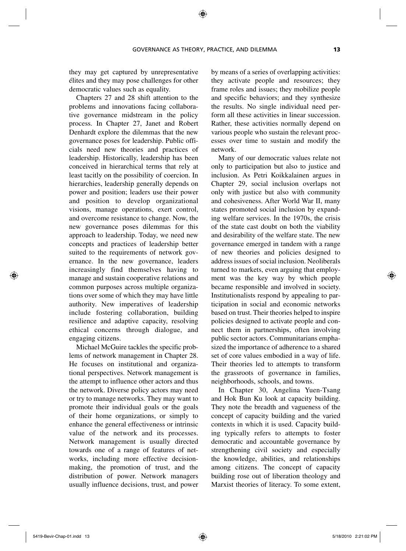they may get captured by unrepresentative élites and they may pose challenges for other democratic values such as equality.

Chapters 27 and 28 shift attention to the problems and innovations facing collaborative governance midstream in the policy process. In Chapter 27, Janet and Robert Denhardt explore the dilemmas that the new governance poses for leadership. Public officials need new theories and practices of leadership. Historically, leadership has been conceived in hierarchical terms that rely at least tacitly on the possibility of coercion. In hierarchies, leadership generally depends on power and position; leaders use their power and position to develop organizational visions, manage operations, exert control, and overcome resistance to change. Now, the new governance poses dilemmas for this approach to leadership. Today, we need new concepts and practices of leadership better suited to the requirements of network governance. In the new governance, leaders increasingly find themselves having to manage and sustain cooperative relations and common purposes across multiple organizations over some of which they may have little authority. New imperatives of leadership include fostering collaboration, building resilience and adaptive capacity, resolving ethical concerns through dialogue, and engaging citizens.

Michael McGuire tackles the specific problems of network management in Chapter 28. He focuses on institutional and organizational perspectives. Network management is the attempt to influence other actors and thus the network. Diverse policy actors may need or try to manage networks. They may want to promote their individual goals or the goals of their home organizations, or simply to enhance the general effectiveness or intrinsic value of the network and its processes. Network management is usually directed towards one of a range of features of networks, including more effective decisionmaking, the promotion of trust, and the distribution of power. Network managers usually influence decisions, trust, and power by means of a series of overlapping activities: they activate people and resources; they frame roles and issues; they mobilize people and specific behaviors; and they synthesize the results. No single individual need perform all these activities in linear succession. Rather, these activities normally depend on various people who sustain the relevant processes over time to sustain and modify the network.

Many of our democratic values relate not only to participation but also to justice and inclusion. As Petri Koikkalainen argues in Chapter 29, social inclusion overlaps not only with justice but also with community and cohesiveness. After World War II, many states promoted social inclusion by expanding welfare services. In the 1970s, the crisis of the state cast doubt on both the viability and desirability of the welfare state. The new governance emerged in tandem with a range of new theories and policies designed to address issues of social inclusion. Neoliberals turned to markets, even arguing that employment was the key way by which people became responsible and involved in society. Institutionalists respond by appealing to participation in social and economic networks based on trust. Their theories helped to inspire policies designed to activate people and connect them in partnerships, often involving public sector actors. Communitarians emphasized the importance of adherence to a shared set of core values embodied in a way of life. Their theories led to attempts to transform the grassroots of governance in families, neighborhoods, schools, and towns.

In Chapter 30, Angelina Yuen-Tsang and Hok Bun Ku look at capacity building. They note the breadth and vagueness of the concept of capacity building and the varied contexts in which it is used. Capacity building typically refers to attempts to foster democratic and accountable governance by strengthening civil society and especially the knowledge, abilities, and relationships among citizens. The concept of capacity building rose out of liberation theology and Marxist theories of literacy. To some extent,

5419-Bevir-Chap-01.indd 13 5418/2010 2:21:02 PM /18/2010 5/18/2010 2:21:02 PM

⊕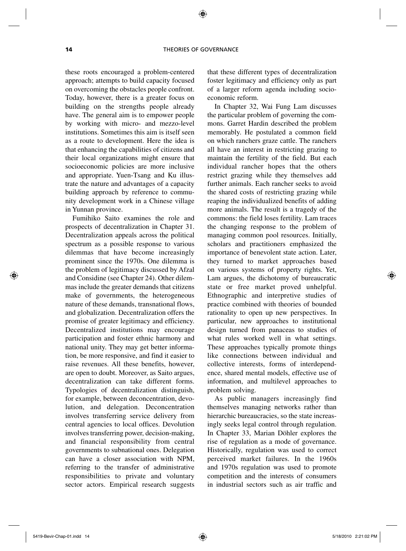these roots encouraged a problem-centered approach; attempts to build capacity focused on overcoming the obstacles people confront. Today, however, there is a greater focus on building on the strengths people already have. The general aim is to empower people by working with micro- and mezzo-level institutions. Sometimes this aim is itself seen as a route to development. Here the idea is that enhancing the capabilities of citizens and their local organizations might ensure that socioeconomic policies are more inclusive and appropriate. Yuen-Tsang and Ku illustrate the nature and advantages of a capacity building approach by reference to community development work in a Chinese village in Yunnan province.

Fumihiko Saito examines the role and prospects of decentralization in Chapter 31. Decentralization appeals across the political spectrum as a possible response to various dilemmas that have become increasingly prominent since the 1970s. One dilemma is the problem of legitimacy discussed by Afzal and Considine (see Chapter 24). Other dilemmas include the greater demands that citizens make of governments, the heterogeneous nature of these demands, transnational flows, and globalization. Decentralization offers the promise of greater legitimacy and efficiency. Decentralized institutions may encourage participation and foster ethnic harmony and national unity. They may get better information, be more responsive, and find it easier to raise revenues. All these benefits, however, are open to doubt. Moreover, as Saito argues, decentralization can take different forms. Typologies of decentralization distinguish, for example, between deconcentration, devolution, and delegation. Deconcentration involves transferring service delivery from central agencies to local offices. Devolution involves transferring power, decision-making, and financial responsibility from central governments to subnational ones. Delegation can have a closer association with NPM, referring to the transfer of administrative responsibilities to private and voluntary sector actors. Empirical research suggests

that these different types of decentralization foster legitimacy and efficiency only as part of a larger reform agenda including socioeconomic reform.

In Chapter 32, Wai Fung Lam discusses the particular problem of governing the commons. Garret Hardin described the problem memorably. He postulated a common field on which ranchers graze cattle. The ranchers all have an interest in restricting grazing to maintain the fertility of the field. But each individual rancher hopes that the others restrict grazing while they themselves add further animals. Each rancher seeks to avoid the shared costs of restricting grazing while reaping the individualized benefits of adding more animals. The result is a tragedy of the commons: the field loses fertility. Lam traces the changing response to the problem of managing common pool resources. Initially, scholars and practitioners emphasized the importance of benevolent state action. Later, they turned to market approaches based on various systems of property rights. Yet, Lam argues, the dichotomy of bureaucratic state or free market proved unhelpful. Ethnographic and interpretive studies of practice combined with theories of bounded rationality to open up new perspectives. In particular, new approaches to institutional design turned from panaceas to studies of what rules worked well in what settings. These approaches typically promote things like connections between individual and collective interests, forms of interdependence, shared mental models, effective use of information, and multilevel approaches to problem solving.

As public managers increasingly find themselves managing networks rather than hierarchic bureaucracies, so the state increasingly seeks legal control through regulation. In Chapter 33, Marian Döhler explores the rise of regulation as a mode of governance. Historically, regulation was used to correct perceived market failures. In the 1960s and 1970s regulation was used to promote competition and the interests of consumers in industrial sectors such as air traffic and

⊕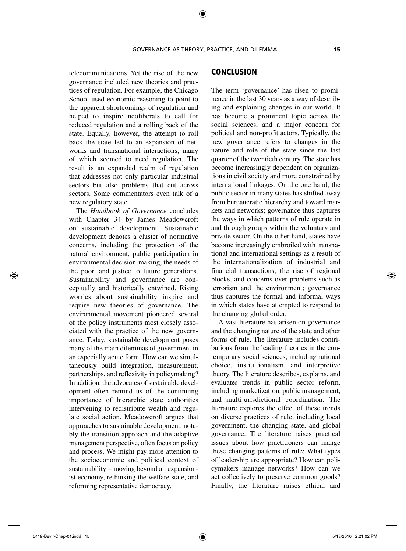telecommunications. Yet the rise of the new governance included new theories and practices of regulation. For example, the Chicago School used economic reasoning to point to the apparent shortcomings of regulation and helped to inspire neoliberals to call for reduced regulation and a rolling back of the state. Equally, however, the attempt to roll back the state led to an expansion of networks and transnational interactions, many of which seemed to need regulation. The result is an expanded realm of regulation that addresses not only particular industrial sectors but also problems that cut across sectors. Some commentators even talk of a new regulatory state.

The *Handbook of Governance* concludes with Chapter 34 by James Meadowcroft on sustainable development. Sustainable development denotes a cluster of normative concerns, including the protection of the natural environment, public participation in environmental decision-making, the needs of the poor, and justice to future generations. Sustainability and governance are conceptually and historically entwined. Rising worries about sustainability inspire and require new theories of governance. The environmental movement pioneered several of the policy instruments most closely associated with the practice of the new governance. Today, sustainable development poses many of the main dilemmas of government in an especially acute form. How can we simultaneously build integration, measurement, partnerships, and reflexivity in policy making? In addition, the advocates of sustainable development often remind us of the continuing importance of hierarchic state authorities intervening to redistribute wealth and regulate social action. Meadowcroft argues that approaches to sustainable development, notably the transition approach and the adaptive management perspective, often focus on policy and process. We might pay more attention to the socioeconomic and political context of sustainability – moving beyond an expansionist economy, rethinking the welfare state, and reforming representative democracy.

#### **CONCLUSION**

The term 'governance' has risen to prominence in the last 30 years as a way of describing and explaining changes in our world. It has become a prominent topic across the social sciences, and a major concern for political and non-profit actors. Typically, the new governance refers to changes in the nature and role of the state since the last quarter of the twentieth century. The state has become increasingly dependent on organizations in civil society and more constrained by international linkages. On the one hand, the public sector in many states has shifted away from bureaucratic hierarchy and toward markets and networks; governance thus captures the ways in which patterns of rule operate in and through groups within the voluntary and private sector. On the other hand, states have become increasingly embroiled with transnational and international settings as a result of the internationalization of industrial and financial transactions, the rise of regional blocks, and concerns over problems such as terrorism and the environment; governance thus captures the formal and informal ways in which states have attempted to respond to the changing global order.

A vast literature has arisen on governance and the changing nature of the state and other forms of rule. The literature includes contributions from the leading theories in the contemporary social sciences, including rational choice, institutionalism, and interpretive theory. The literature describes, explains, and evaluates trends in public sector reform, including marketization, public management, and multijurisdictional coordination. The literature explores the effect of these trends on diverse practices of rule, including local government, the changing state, and global governance. The literature raises practical issues about how practitioners can mange these changing patterns of rule: What types of leadership are appropriate? How can policymakers manage networks? How can we act collectively to preserve common goods? Finally, the literature raises ethical and

⊕